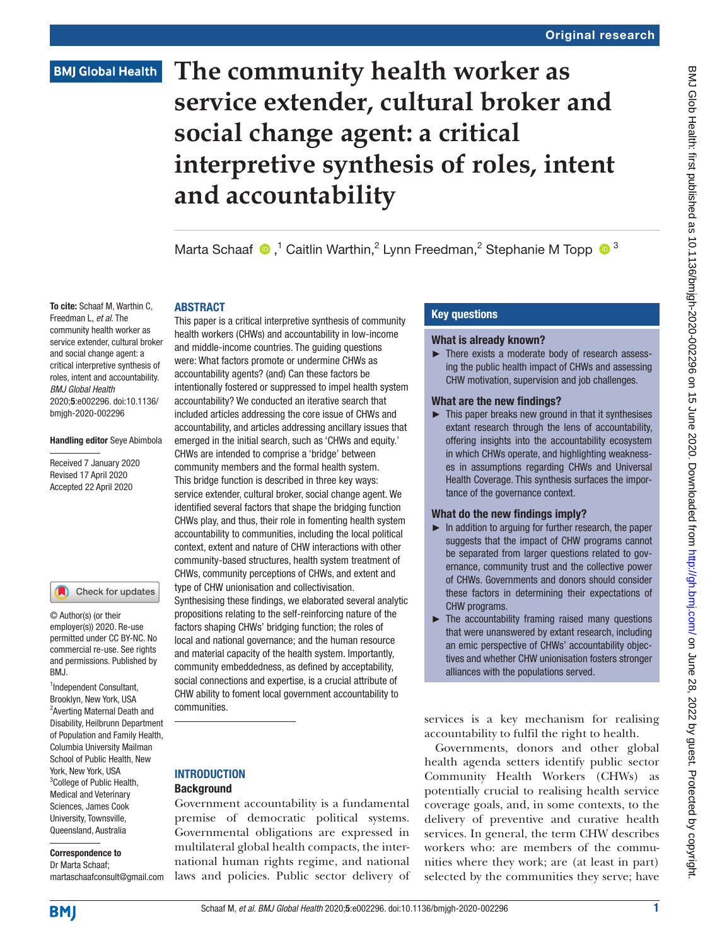# **BMJ Global Health**

# **The community health worker as service extender, cultural broker and social change agent: a critical interpretive synthesis of roles, intent and accountability**

MartaSchaaf  $\bigcirc$ ,<sup>1</sup> Caitlin Warthin,<sup>2</sup> Lynn Freedman,<sup>2</sup> Stephanie M Topp  $\bigcirc$ <sup>3</sup>

#### **ABSTRACT**

To cite: Schaaf M, Warthin C, Freedman L, *et al*. The community health worker as service extender, cultural broker and social change agent: a critical interpretive synthesis of roles, intent and accountability. *BMJ Global Health* 2020;5:e002296. doi:10.1136/ bmjgh-2020-002296

#### Handling editor Seye Abimbola

Received 7 January 2020 Revised 17 April 2020 Accepted 22 April 2020

#### Check for updates

© Author(s) (or their employer(s)) 2020. Re-use permitted under CC BY-NC. No commercial re-use. See rights and permissions. Published by RM<sub>J</sub>

1 Independent Consultant, Brooklyn, New York, USA <sup>2</sup> Averting Maternal Death and Disability, Heilbrunn Department of Population and Family Health, Columbia University Mailman School of Public Health, New York, New York, USA <sup>3</sup>College of Public Health, Medical and Veterinary Sciences, James Cook University, Townsville, Queensland, Australia

# Correspondence to

Dr Marta Schaaf; martaschaafconsult@gmail.com

This paper is a critical interpretive synthesis of community health workers (CHWs) and accountability in low-income and middle-income countries. The guiding questions were: What factors promote or undermine CHWs as accountability agents? (and) Can these factors be intentionally fostered or suppressed to impel health system accountability? We conducted an iterative search that included articles addressing the core issue of CHWs and accountability, and articles addressing ancillary issues that emerged in the initial search, such as 'CHWs and equity.' CHWs are intended to comprise a 'bridge' between community members and the formal health system. This bridge function is described in three key ways: service extender, cultural broker, social change agent. We identified several factors that shape the bridging function CHWs play, and thus, their role in fomenting health system accountability to communities, including the local political context, extent and nature of CHW interactions with other community-based structures, health system treatment of CHWs, community perceptions of CHWs, and extent and type of CHW unionisation and collectivisation. Synthesising these findings, we elaborated several analytic propositions relating to the self-reinforcing nature of the factors shaping CHWs' bridging function; the roles of local and national governance; and the human resource and material capacity of the health system. Importantly, community embeddedness, as defined by acceptability, social connections and expertise, is a crucial attribute of CHW ability to foment local government accountability to communities.

#### **INTRODUCTION Background**

Government accountability is a fundamental premise of democratic political systems. Governmental obligations are expressed in multilateral global health compacts, the international human rights regime, and national laws and policies. Public sector delivery of

# Key questions

#### What is already known?

► There exists a moderate body of research assessing the public health impact of CHWs and assessing CHW motivation, supervision and job challenges.

#### What are the new findings?

 $\blacktriangleright$  This paper breaks new ground in that it synthesises extant research through the lens of accountability, offering insights into the accountability ecosystem in which CHWs operate, and highlighting weaknesses in assumptions regarding CHWs and Universal Health Coverage. This synthesis surfaces the importance of the governance context.

#### What do the new findings imply?

- ► In addition to arguing for further research, the paper suggests that the impact of CHW programs cannot be separated from larger questions related to governance, community trust and the collective power of CHWs. Governments and donors should consider these factors in determining their expectations of CHW programs.
- $\blacktriangleright$  The accountability framing raised many questions that were unanswered by extant research, including an emic perspective of CHWs' accountability objectives and whether CHW unionisation fosters stronger alliances with the populations served.

services is a key mechanism for realising accountability to fulfil the right to health.

Governments, donors and other global health agenda setters identify public sector Community Health Workers (CHWs) as potentially crucial to realising health service coverage goals, and, in some contexts, to the delivery of preventive and curative health services. In general, the term CHW describes workers who: are members of the communities where they work; are (at least in part) selected by the communities they serve; have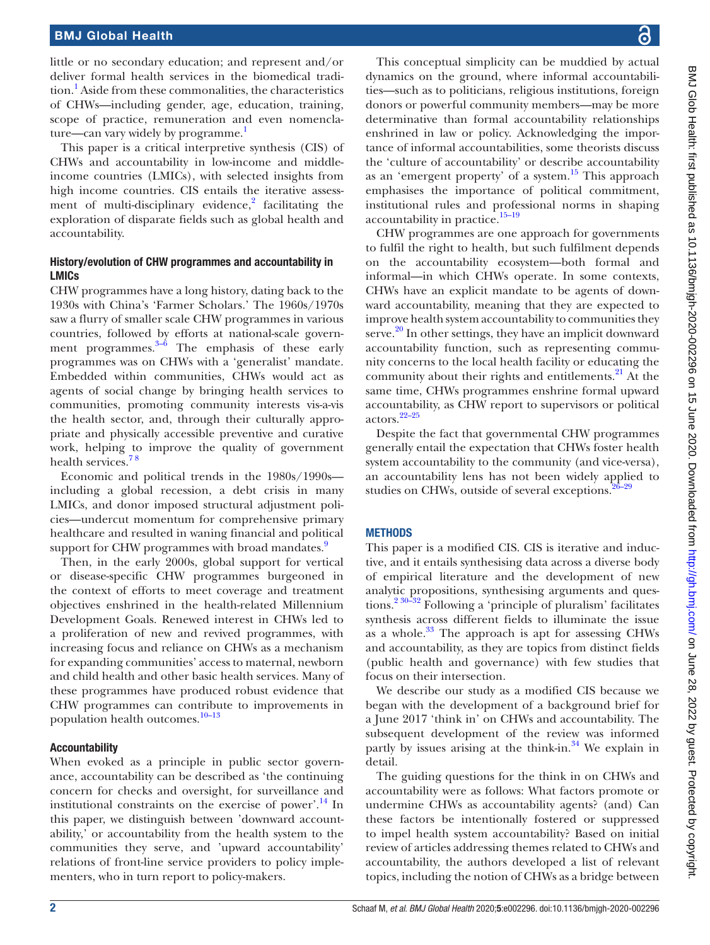little or no secondary education; and represent and/or deliver formal health services in the biomedical tradition.<sup>1</sup> Aside from these commonalities, the characteristics of CHWs—including gender, age, education, training, scope of practice, remuneration and even nomenclature—can vary widely by programme. $<sup>1</sup>$  $<sup>1</sup>$  $<sup>1</sup>$ </sup>

This paper is a critical interpretive synthesis (CIS) of CHWs and accountability in low-income and middleincome countries (LMICs), with selected insights from high income countries. CIS entails the iterative assessment of multi-disciplinary evidence, $2$  facilitating the exploration of disparate fields such as global health and accountability.

#### History/evolution of CHW programmes and accountability in LMICs

CHW programmes have a long history, dating back to the 1930s with China's 'Farmer Scholars.' The 1960s/1970s saw a flurry of smaller scale CHW programmes in various countries, followed by efforts at national-scale government programmes. $3-6$  The emphasis of these early programmes was on CHWs with a 'generalist' mandate. Embedded within communities, CHWs would act as agents of social change by bringing health services to communities, promoting community interests vis-a-vis the health sector, and, through their culturally appropriate and physically accessible preventive and curative work, helping to improve the quality of government health services.<sup>78</sup>

Economic and political trends in the 1980s/1990s including a global recession, a debt crisis in many LMICs, and donor imposed structural adjustment policies—undercut momentum for comprehensive primary healthcare and resulted in waning financial and political support for CHW programmes with broad mandates.<sup>[9](#page-10-4)</sup>

Then, in the early 2000s, global support for vertical or disease-specific CHW programmes burgeoned in the context of efforts to meet coverage and treatment objectives enshrined in the health-related Millennium Development Goals. Renewed interest in CHWs led to a proliferation of new and revived programmes, with increasing focus and reliance on CHWs as a mechanism for expanding communities' access to maternal, newborn and child health and other basic health services. Many of these programmes have produced robust evidence that CHW programmes can contribute to improvements in population health outcomes.<sup>10-13</sup>

#### Accountability

When evoked as a principle in public sector governance, accountability can be described as 'the continuing concern for checks and oversight, for surveillance and institutional constraints on the exercise of power'.<sup>14</sup> In this paper, we distinguish between 'downward accountability,' or accountability from the health system to the communities they serve, and 'upward accountability' relations of front-line service providers to policy implementers, who in turn report to policy-makers.

BMJ Glob Health: first published as 10.1136/bmjgh-2020-002296 on 15 June 2020. Downloaded from http://gh.bmj.com/ on June 28, 2022 by guest. Protected by copyright BMJ Glob Health: first published as 10.1136/bmjgh-2020-002296 on 15 June 2020. Downloaded from <http://gh.bmj.com/> on June 28, 2022 by guest. Protected by copyright

This conceptual simplicity can be muddied by actual dynamics on the ground, where informal accountabilities—such as to politicians, religious institutions, foreign donors or powerful community members—may be more determinative than formal accountability relationships enshrined in law or policy. Acknowledging the importance of informal accountabilities, some theorists discuss the 'culture of accountability' or describe accountability as an 'emergent property' of a system.[15](#page-10-7) This approach emphasises the importance of political commitment, institutional rules and professional norms in shaping accountability in practice.<sup>15-19</sup>

CHW programmes are one approach for governments to fulfil the right to health, but such fulfilment depends on the accountability ecosystem—both formal and informal—in which CHWs operate. In some contexts, CHWs have an explicit mandate to be agents of downward accountability, meaning that they are expected to improve health system accountability to communities they serve. $20$  In other settings, they have an implicit downward accountability function, such as representing community concerns to the local health facility or educating the community about their rights and entitlements. $^{21}$  At the same time, CHWs programmes enshrine formal upward accountability, as CHW report to supervisors or political actors.[22–25](#page-10-10)

Despite the fact that governmental CHW programmes generally entail the expectation that CHWs foster health system accountability to the community (and vice-versa), an accountability lens has not been widely applied to studies on CHWs, outside of several exceptions.<sup>2</sup>

#### **METHODS**

This paper is a modified CIS. CIS is iterative and inductive, and it entails synthesising data across a diverse body of empirical literature and the development of new analytic propositions, synthesising arguments and ques-tions.<sup>[2 30–32](#page-10-1)</sup> Following a 'principle of pluralism' facilitates synthesis across different fields to illuminate the issue as a whole. $33$  The approach is apt for assessing CHWs and accountability, as they are topics from distinct fields (public health and governance) with few studies that focus on their intersection.

We describe our study as a modified CIS because we began with the development of a background brief for a June 2017 'think in' on CHWs and accountability. The subsequent development of the review was informed partly by issues arising at the think-in. $34$  We explain in detail.

The guiding questions for the think in on CHWs and accountability were as follows: What factors promote or undermine CHWs as accountability agents? (and) Can these factors be intentionally fostered or suppressed to impel health system accountability? Based on initial review of articles addressing themes related to CHWs and accountability, the authors developed a list of relevant topics, including the notion of CHWs as a bridge between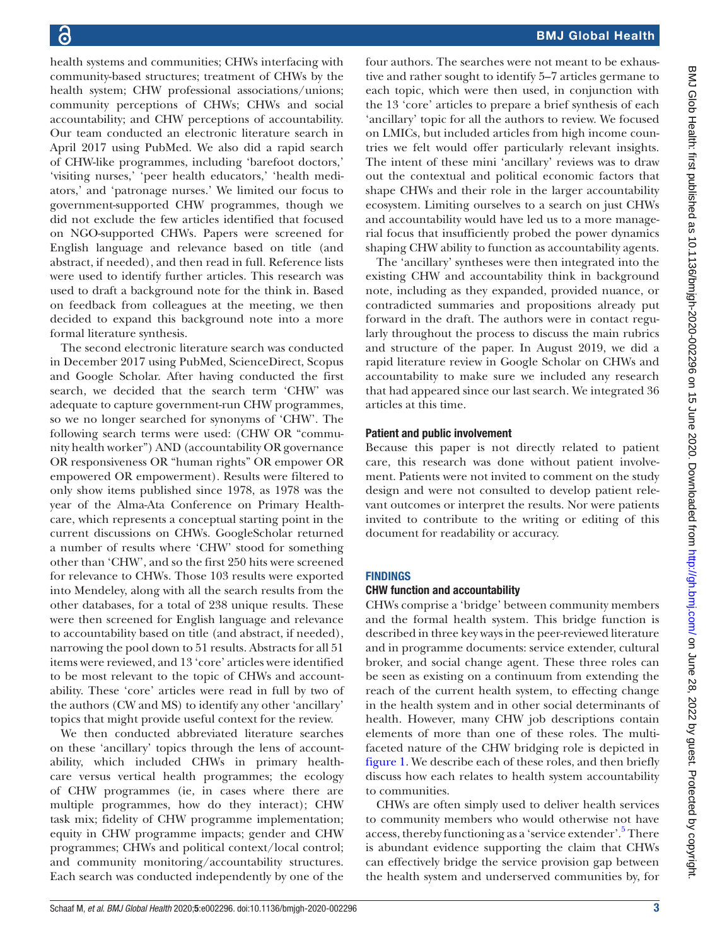health systems and communities; CHWs interfacing with community-based structures; treatment of CHWs by the health system; CHW professional associations/unions; community perceptions of CHWs; CHWs and social accountability; and CHW perceptions of accountability. Our team conducted an electronic literature search in April 2017 using PubMed. We also did a rapid search of CHW-like programmes, including 'barefoot doctors,' 'visiting nurses,' 'peer health educators,' 'health mediators,' and 'patronage nurses.' We limited our focus to government-supported CHW programmes, though we did not exclude the few articles identified that focused on NGO-supported CHWs. Papers were screened for English language and relevance based on title (and abstract, if needed), and then read in full. Reference lists were used to identify further articles. This research was used to draft a background note for the think in. Based on feedback from colleagues at the meeting, we then decided to expand this background note into a more formal literature synthesis.

The second electronic literature search was conducted in December 2017 using PubMed, ScienceDirect, Scopus and Google Scholar. After having conducted the first search, we decided that the search term 'CHW' was adequate to capture government-run CHW programmes, so we no longer searched for synonyms of 'CHW'. The following search terms were used: (CHW OR "community health worker") AND (accountability OR governance OR responsiveness OR "human rights" OR empower OR empowered OR empowerment). Results were filtered to only show items published since 1978, as 1978 was the year of the Alma-Ata Conference on Primary Healthcare, which represents a conceptual starting point in the current discussions on CHWs. GoogleScholar returned a number of results where 'CHW' stood for something other than 'CHW', and so the first 250 hits were screened for relevance to CHWs. Those 103 results were exported into Mendeley, along with all the search results from the other databases, for a total of 238 unique results. These were then screened for English language and relevance to accountability based on title (and abstract, if needed), narrowing the pool down to 51 results. Abstracts for all 51 items were reviewed, and 13 'core' articles were identified to be most relevant to the topic of CHWs and accountability. These 'core' articles were read in full by two of the authors (CW and MS) to identify any other 'ancillary' topics that might provide useful context for the review.

We then conducted abbreviated literature searches on these 'ancillary' topics through the lens of accountability, which included CHWs in primary healthcare versus vertical health programmes; the ecology of CHW programmes (ie, in cases where there are multiple programmes, how do they interact); CHW task mix; fidelity of CHW programme implementation; equity in CHW programme impacts; gender and CHW programmes; CHWs and political context/local control; and community monitoring/accountability structures. Each search was conducted independently by one of the

four authors. The searches were not meant to be exhaustive and rather sought to identify 5–7 articles germane to each topic, which were then used, in conjunction with the 13 'core' articles to prepare a brief synthesis of each 'ancillary' topic for all the authors to review. We focused on LMICs, but included articles from high income countries we felt would offer particularly relevant insights. The intent of these mini 'ancillary' reviews was to draw out the contextual and political economic factors that shape CHWs and their role in the larger accountability ecosystem. Limiting ourselves to a search on just CHWs and accountability would have led us to a more managerial focus that insufficiently probed the power dynamics shaping CHW ability to function as accountability agents.

The 'ancillary' syntheses were then integrated into the existing CHW and accountability think in background note, including as they expanded, provided nuance, or contradicted summaries and propositions already put forward in the draft. The authors were in contact regularly throughout the process to discuss the main rubrics and structure of the paper. In August 2019, we did a rapid literature review in Google Scholar on CHWs and accountability to make sure we included any research that had appeared since our last search. We integrated 36 articles at this time.

# Patient and public involvement

Because this paper is not directly related to patient care, this research was done without patient involvement. Patients were not invited to comment on the study design and were not consulted to develop patient relevant outcomes or interpret the results. Nor were patients invited to contribute to the writing or editing of this document for readability or accuracy.

# **FINDINGS**

# CHW function and accountability

CHWs comprise a 'bridge' between community members and the formal health system. This bridge function is described in three key ways in the peer-reviewed literature and in programme documents: service extender, cultural broker, and social change agent. These three roles can be seen as existing on a continuum from extending the reach of the current health system, to effecting change in the health system and in other social determinants of health. However, many CHW job descriptions contain elements of more than one of these roles. The multifaceted nature of the CHW bridging role is depicted in [figure](#page-3-0) 1. We describe each of these roles, and then briefly discuss how each relates to health system accountability to communities.

CHWs are often simply used to deliver health services to community members who would otherwise not have access, thereby functioning as a 'service extender'.<sup>[5](#page-10-14)</sup> There is abundant evidence supporting the claim that CHWs can effectively bridge the service provision gap between the health system and underserved communities by, for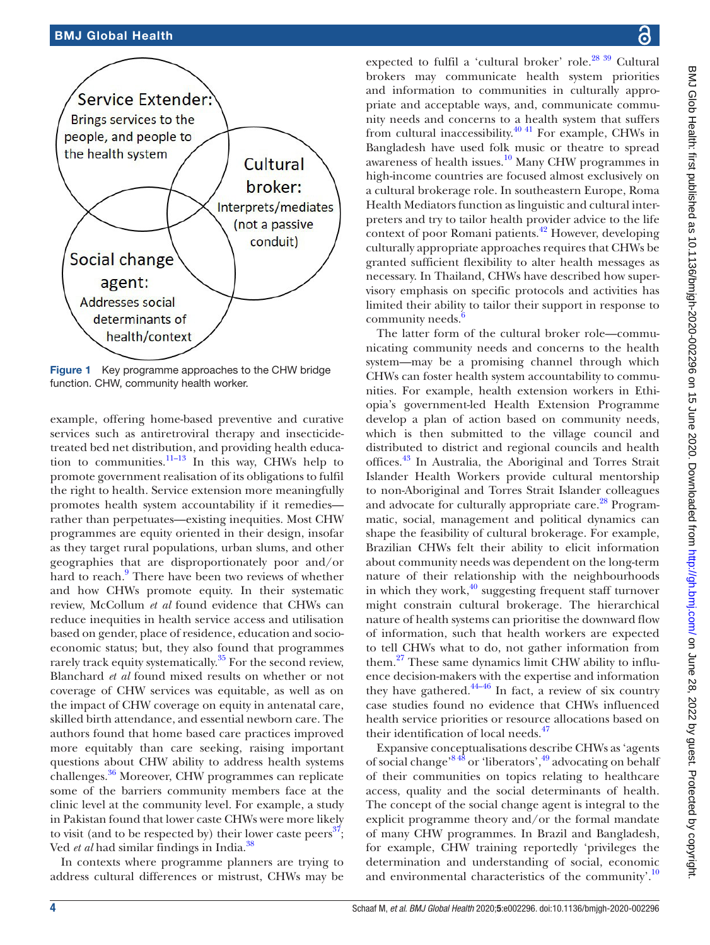

<span id="page-3-0"></span>Figure 1 Key programme approaches to the CHW bridge function. CHW, community health worker.

example, offering home-based preventive and curative services such as antiretroviral therapy and insecticidetreated bed net distribution, and providing health education to communities. $11-13$  In this way, CHWs help to promote government realisation of its obligations to fulfil the right to health. Service extension more meaningfully promotes health system accountability if it remedies rather than perpetuates—existing inequities. Most CHW programmes are equity oriented in their design, insofar as they target rural populations, urban slums, and other geographies that are disproportionately poor and/or hard to reach.<sup>[9](#page-10-4)</sup> There have been two reviews of whether and how CHWs promote equity. In their systematic review, McCollum *et al* found evidence that CHWs can reduce inequities in health service access and utilisation based on gender, place of residence, education and socioeconomic status; but, they also found that programmes rarely track equity systematically.<sup>35</sup> For the second review, Blanchard *et al* found mixed results on whether or not coverage of CHW services was equitable, as well as on the impact of CHW coverage on equity in antenatal care, skilled birth attendance, and essential newborn care. The authors found that home based care practices improved more equitably than care seeking, raising important questions about CHW ability to address health systems challenges.[36](#page-10-17) Moreover, CHW programmes can replicate some of the barriers community members face at the clinic level at the community level. For example, a study in Pakistan found that lower caste CHWs were more likely to visit (and to be respected by) their lower caste peers<sup>37</sup>; Ved *et al* had similar findings in India.[38](#page-10-19)

In contexts where programme planners are trying to address cultural differences or mistrust, CHWs may be

expected to fulfil a 'cultural broker' role.<sup>28 39</sup> Cultural brokers may communicate health system priorities and information to communities in culturally appropriate and acceptable ways, and, communicate community needs and concerns to a health system that suffers from cultural inaccessibility.<sup>[40 41](#page-11-0)</sup> For example, CHWs in Bangladesh have used folk music or theatre to spread awareness of health issues.<sup>10</sup> Many CHW programmes in high-income countries are focused almost exclusively on a cultural brokerage role. In southeastern Europe, Roma Health Mediators function as linguistic and cultural interpreters and try to tailor health provider advice to the life context of poor Romani patients.<sup>42</sup> However, developing culturally appropriate approaches requires that CHWs be granted sufficient flexibility to alter health messages as necessary. In Thailand, CHWs have described how supervisory emphasis on specific protocols and activities has limited their ability to tailor their support in response to community needs.<sup>[6](#page-10-21)</sup>

The latter form of the cultural broker role—communicating community needs and concerns to the health system—may be a promising channel through which CHWs can foster health system accountability to communities. For example, health extension workers in Ethiopia's government-led Health Extension Programme develop a plan of action based on community needs, which is then submitted to the village council and distributed to district and regional councils and health offices.[43](#page-11-2) In Australia, the Aboriginal and Torres Strait Islander Health Workers provide cultural mentorship to non-Aboriginal and Torres Strait Islander colleagues and advocate for culturally appropriate care.<sup>28</sup> Programmatic, social, management and political dynamics can shape the feasibility of cultural brokerage. For example, Brazilian CHWs felt their ability to elicit information about community needs was dependent on the long-term nature of their relationship with the neighbourhoods in which they work, $40$  suggesting frequent staff turnover might constrain cultural brokerage. The hierarchical nature of health systems can prioritise the downward flow of information, such that health workers are expected to tell CHWs what to do, not gather information from them.<sup>27</sup> These same dynamics limit CHW ability to influence decision-makers with the expertise and information they have gathered. $44-46$  In fact, a review of six country case studies found no evidence that CHWs influenced health service priorities or resource allocations based on their identification of local needs. $47$ 

Expansive conceptualisations describe CHWs as 'agents of social change'[8 48](#page-10-23) or 'liberators'[,49](#page-11-5) advocating on behalf of their communities on topics relating to healthcare access, quality and the social determinants of health. The concept of the social change agent is integral to the explicit programme theory and/or the formal mandate of many CHW programmes. In Brazil and Bangladesh, for example, CHW training reportedly 'privileges the determination and understanding of social, economic and environmental characteristics of the community'.<sup>[10](#page-10-5)</sup>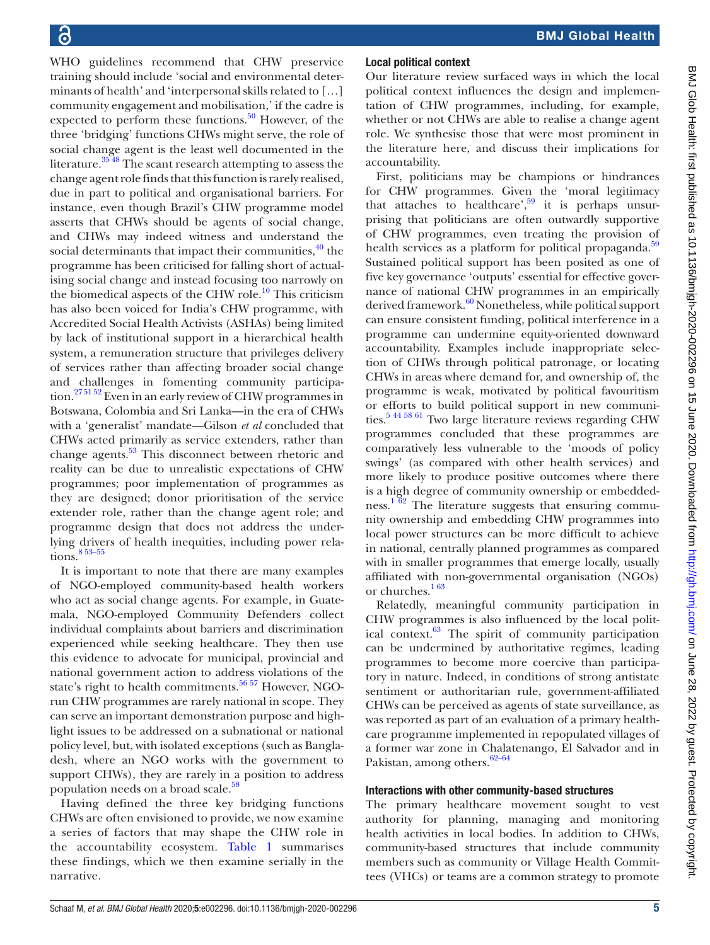WHO guidelines recommend that CHW preservice training should include 'social and environmental determinants of health' and 'interpersonal skills related to […] community engagement and mobilisation,' if the cadre is expected to perform these functions. $50$  However, of the three 'bridging' functions CHWs might serve, the role of social change agent is the least well documented in the literature.<sup>3548</sup> The scant research attempting to assess the change agent role finds that this function is rarely realised, due in part to political and organisational barriers. For instance, even though Brazil's CHW programme model asserts that CHWs should be agents of social change, and CHWs may indeed witness and understand the social determinants that impact their communities,  $^{40}$  the programme has been criticised for falling short of actualising social change and instead focusing too narrowly on the biomedical aspects of the CHW role.<sup>10</sup> This criticism has also been voiced for India's CHW programme, with Accredited Social Health Activists (ASHAs) being limited by lack of institutional support in a hierarchical health system, a remuneration structure that privileges delivery of services rather than affecting broader social change and challenges in fomenting community participation[.27 51 52](#page-10-22) Even in an early review of CHW programmes in Botswana, Colombia and Sri Lanka—in the era of CHWs with a 'generalist' mandate—Gilson *et al* concluded that CHWs acted primarily as service extenders, rather than change agents.<sup>53</sup> This disconnect between rhetoric and reality can be due to unrealistic expectations of CHW programmes; poor implementation of programmes as they are designed; donor prioritisation of the service extender role, rather than the change agent role; and programme design that does not address the underlying drivers of health inequities, including power relations.<sup>853-55</sup>

It is important to note that there are many examples of NGO-employed community-based health workers who act as social change agents. For example, in Guatemala, NGO-employed Community Defenders collect individual complaints about barriers and discrimination experienced while seeking healthcare. They then use this evidence to advocate for municipal, provincial and national government action to address violations of the state's right to health commitments.<sup>[56 57](#page-11-8)</sup> However, NGOrun CHW programmes are rarely national in scope. They can serve an important demonstration purpose and highlight issues to be addressed on a subnational or national policy level, but, with isolated exceptions (such as Bangladesh, where an NGO works with the government to support CHWs), they are rarely in a position to address population needs on a broad scale. $58$ 

Having defined the three key bridging functions CHWs are often envisioned to provide, we now examine a series of factors that may shape the CHW role in the accountability ecosystem. [Table](#page-5-0) 1 summarises these findings, which we then examine serially in the narrative.

### Local political context

Our literature review surfaced ways in which the local political context influences the design and implementation of CHW programmes, including, for example, whether or not CHWs are able to realise a change agent role. We synthesise those that were most prominent in the literature here, and discuss their implications for accountability.

First, politicians may be champions or hindrances for CHW programmes. Given the 'moral legitimacy that attaches to healthcare', $59$  it is perhaps unsurprising that politicians are often outwardly supportive of CHW programmes, even treating the provision of health services as a platform for political propaganda.<sup>[59](#page-11-10)</sup> Sustained political support has been posited as one of five key governance 'outputs' essential for effective governance of national CHW programmes in an empirically derived framework.<sup>60</sup> Nonetheless, while political support can ensure consistent funding, political interference in a programme can undermine equity-oriented downward accountability. Examples include inappropriate selection of CHWs through political patronage, or locating CHWs in areas where demand for, and ownership of, the programme is weak, motivated by political favouritism or efforts to build political support in new communities.<sup>5 44 58 61</sup> Two large literature reviews regarding CHW programmes concluded that these programmes are comparatively less vulnerable to the 'moods of policy swings' (as compared with other health services) and more likely to produce positive outcomes where there is a high degree of community ownership or embedded-ness.<sup>[1 62](#page-10-0)</sup> The literature suggests that ensuring community ownership and embedding CHW programmes into local power structures can be more difficult to achieve in national, centrally planned programmes as compared with in smaller programmes that emerge locally, usually affiliated with non-governmental organisation (NGOs) or churches.<sup>163</sup>

Relatedly, meaningful community participation in CHW programmes is also influenced by the local political context. $63$  The spirit of community participation can be undermined by authoritative regimes, leading programmes to become more coercive than participatory in nature. Indeed, in conditions of strong antistate sentiment or authoritarian rule, government-affiliated CHWs can be perceived as agents of state surveillance, as was reported as part of an evaluation of a primary healthcare programme implemented in repopulated villages of a former war zone in Chalatenango, El Salvador and in Pakistan, among others.<sup>62-64</sup>

#### Interactions with other community-based structures

The primary healthcare movement sought to vest authority for planning, managing and monitoring health activities in local bodies. In addition to CHWs, community-based structures that include community members such as community or Village Health Committees (VHCs) or teams are a common strategy to promote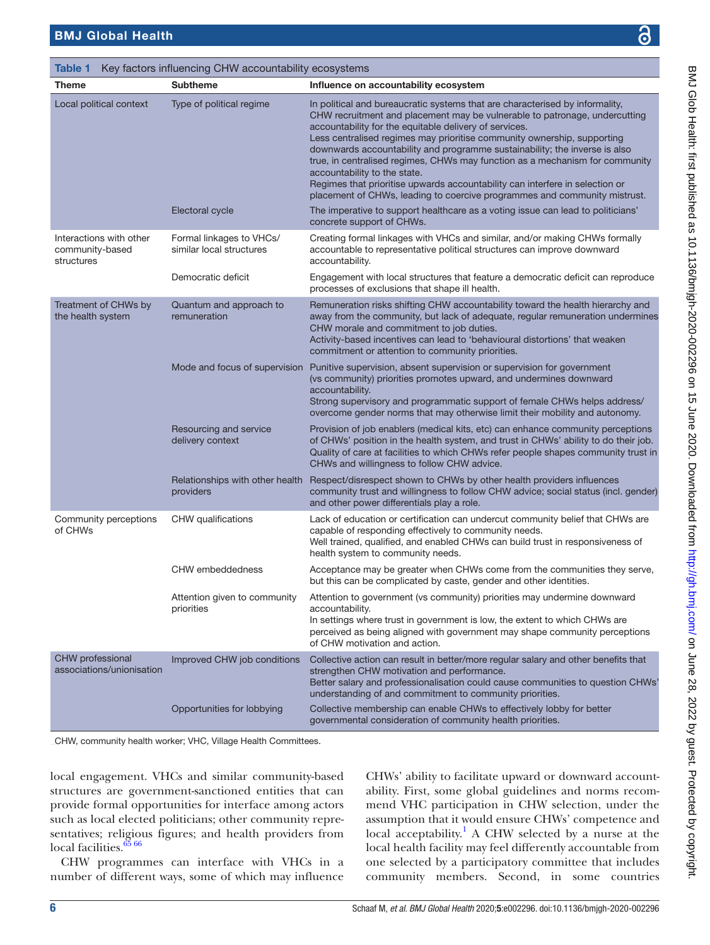<span id="page-5-0"></span>Table 1 Key factors influencing CHW accountability ecosystems

| <b>Theme</b>                                             | <b>Subtheme</b>                                           | Influence on accountability ecosystem                                                                                                                                                                                                                                                                                                                                                                                                                                                                                                                                                                                                                      |
|----------------------------------------------------------|-----------------------------------------------------------|------------------------------------------------------------------------------------------------------------------------------------------------------------------------------------------------------------------------------------------------------------------------------------------------------------------------------------------------------------------------------------------------------------------------------------------------------------------------------------------------------------------------------------------------------------------------------------------------------------------------------------------------------------|
| Local political context                                  | Type of political regime                                  | In political and bureaucratic systems that are characterised by informality,<br>CHW recruitment and placement may be vulnerable to patronage, undercutting<br>accountability for the equitable delivery of services.<br>Less centralised regimes may prioritise community ownership, supporting<br>downwards accountability and programme sustainability; the inverse is also<br>true, in centralised regimes, CHWs may function as a mechanism for community<br>accountability to the state.<br>Regimes that prioritise upwards accountability can interfere in selection or<br>placement of CHWs, leading to coercive programmes and community mistrust. |
|                                                          | Electoral cycle                                           | The imperative to support healthcare as a voting issue can lead to politicians'<br>concrete support of CHWs.                                                                                                                                                                                                                                                                                                                                                                                                                                                                                                                                               |
| Interactions with other<br>community-based<br>structures | Formal linkages to VHCs/<br>similar local structures      | Creating formal linkages with VHCs and similar, and/or making CHWs formally<br>accountable to representative political structures can improve downward<br>accountability.                                                                                                                                                                                                                                                                                                                                                                                                                                                                                  |
|                                                          | Democratic deficit                                        | Engagement with local structures that feature a democratic deficit can reproduce<br>processes of exclusions that shape ill health.                                                                                                                                                                                                                                                                                                                                                                                                                                                                                                                         |
| Treatment of CHWs by<br>the health system                | Quantum and approach to<br>remuneration                   | Remuneration risks shifting CHW accountability toward the health hierarchy and<br>away from the community, but lack of adequate, regular remuneration undermines<br>CHW morale and commitment to job duties.<br>Activity-based incentives can lead to 'behavioural distortions' that weaken<br>commitment or attention to community priorities.                                                                                                                                                                                                                                                                                                            |
|                                                          |                                                           | Mode and focus of supervision Punitive supervision, absent supervision or supervision for government<br>(vs community) priorities promotes upward, and undermines downward<br>accountability.<br>Strong supervisory and programmatic support of female CHWs helps address/<br>overcome gender norms that may otherwise limit their mobility and autonomy.                                                                                                                                                                                                                                                                                                  |
|                                                          | Resourcing and service<br>delivery context                | Provision of job enablers (medical kits, etc) can enhance community perceptions<br>of CHWs' position in the health system, and trust in CHWs' ability to do their job.<br>Quality of care at facilities to which CHWs refer people shapes community trust in<br>CHWs and willingness to follow CHW advice.                                                                                                                                                                                                                                                                                                                                                 |
|                                                          | Relationships with other health<br>providers              | Respect/disrespect shown to CHWs by other health providers influences<br>community trust and willingness to follow CHW advice; social status (incl. gender)<br>and other power differentials play a role.                                                                                                                                                                                                                                                                                                                                                                                                                                                  |
| Community perceptions<br>of CHWs                         | CHW qualifications                                        | Lack of education or certification can undercut community belief that CHWs are<br>capable of responding effectively to community needs.<br>Well trained, qualified, and enabled CHWs can build trust in responsiveness of<br>health system to community needs.                                                                                                                                                                                                                                                                                                                                                                                             |
|                                                          | <b>CHW</b> embeddedness                                   | Acceptance may be greater when CHWs come from the communities they serve,<br>but this can be complicated by caste, gender and other identities.                                                                                                                                                                                                                                                                                                                                                                                                                                                                                                            |
|                                                          | Attention given to community<br>priorities                | Attention to government (vs community) priorities may undermine downward<br>accountability.<br>In settings where trust in government is low, the extent to which CHWs are<br>perceived as being aligned with government may shape community perceptions<br>of CHW motivation and action.                                                                                                                                                                                                                                                                                                                                                                   |
| CHW professional<br>associations/unionisation            | Improved CHW job conditions<br>Opportunities for lobbying | Collective action can result in better/more regular salary and other benefits that<br>strengthen CHW motivation and performance.<br>Better salary and professionalisation could cause communities to question CHWs'<br>understanding of and commitment to community priorities.<br>Collective membership can enable CHWs to effectively lobby for better                                                                                                                                                                                                                                                                                                   |
|                                                          |                                                           | governmental consideration of community health priorities.                                                                                                                                                                                                                                                                                                                                                                                                                                                                                                                                                                                                 |

CHW, community health worker; VHC, Village Health Committees.

local engagement. VHCs and similar community-based structures are government-sanctioned entities that can provide formal opportunities for interface among actors such as local elected politicians; other community representatives; religious figures; and health providers from local facilities.<sup>65</sup> 66</sup>

CHW programmes can interface with VHCs in a number of different ways, some of which may influence

CHWs' ability to facilitate upward or downward accountability. First, some global guidelines and norms recommend VHC participation in CHW selection, under the assumption that it would ensure CHWs' competence and local acceptability.<sup>1</sup> A CHW selected by a nurse at the local health facility may feel differently accountable from one selected by a participatory committee that includes community members. Second, in some countries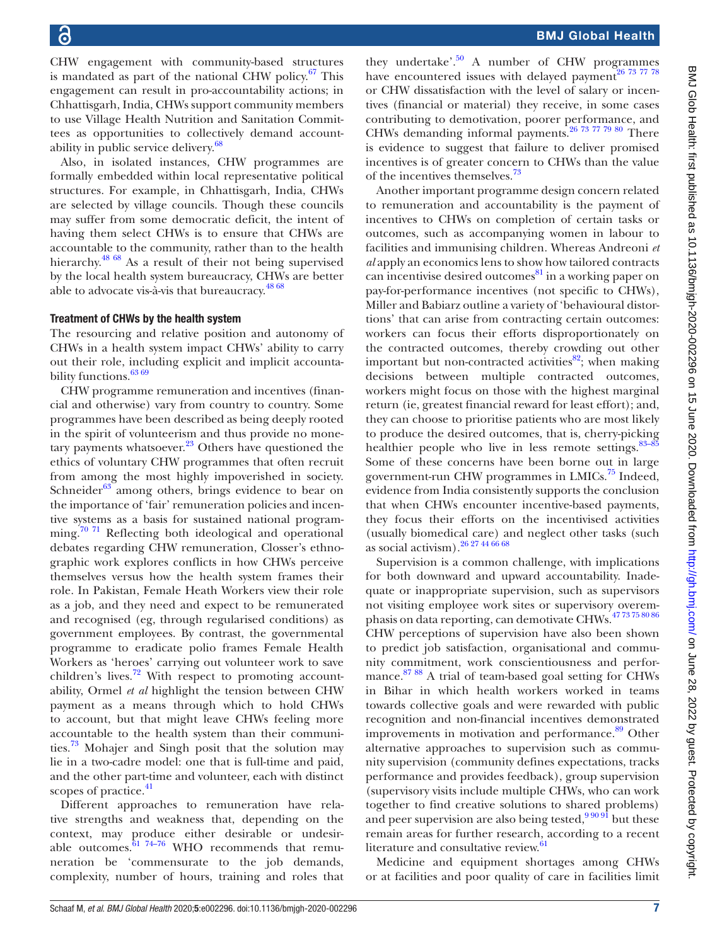CHW engagement with community-based structures is mandated as part of the national CHW policy.<sup>67</sup> This engagement can result in pro-accountability actions; in Chhattisgarh, India, CHWs support community members to use Village Health Nutrition and Sanitation Committees as opportunities to collectively demand accountability in public service delivery.<sup>68</sup>

Also, in isolated instances, CHW programmes are formally embedded within local representative political structures. For example, in Chhattisgarh, India, CHWs are selected by village councils. Though these councils may suffer from some democratic deficit, the intent of having them select CHWs is to ensure that CHWs are accountable to the community, rather than to the health hierarchy.<sup>48 68</sup> As a result of their not being supervised by the local health system bureaucracy, CHWs are better able to advocate vis-à-vis that bureaucracy. $48\frac{68}{68}$ 

#### Treatment of CHWs by the health system

The resourcing and relative position and autonomy of CHWs in a health system impact CHWs' ability to carry out their role, including explicit and implicit accountability functions.<sup>63 69</sup>

CHW programme remuneration and incentives (financial and otherwise) vary from country to country. Some programmes have been described as being deeply rooted in the spirit of volunteerism and thus provide no monetary payments whatsoever. $23$  Others have questioned the ethics of voluntary CHW programmes that often recruit from among the most highly impoverished in society. Schneider $63$  among others, brings evidence to bear on the importance of 'fair' remuneration policies and incentive systems as a basis for sustained national programming.<sup>70 71</sup> Reflecting both ideological and operational debates regarding CHW remuneration, Closser's ethnographic work explores conflicts in how CHWs perceive themselves versus how the health system frames their role. In Pakistan, Female Heath Workers view their role as a job, and they need and expect to be remunerated and recognised (eg, through regularised conditions) as government employees. By contrast, the governmental programme to eradicate polio frames Female Health Workers as 'heroes' carrying out volunteer work to save children's lives.<sup>72</sup> With respect to promoting accountability, Ormel *et al* highlight the tension between CHW payment as a means through which to hold CHWs to account, but that might leave CHWs feeling more accountable to the health system than their communities.[73](#page-11-20) Mohajer and Singh posit that the solution may lie in a two-cadre model: one that is full-time and paid, and the other part-time and volunteer, each with distinct scopes of practice.<sup>[41](#page-11-21)</sup>

Different approaches to remuneration have relative strengths and weakness that, depending on the context, may produce either desirable or undesirable outcomes.  $6174-76$  WHO recommends that remuneration be 'commensurate to the job demands, complexity, number of hours, training and roles that

they undertake'. $50$  A number of CHW programmes have encountered issues with delayed payment<sup>26 73 77</sup> 78 or CHW dissatisfaction with the level of salary or incentives (financial or material) they receive, in some cases contributing to demotivation, poorer performance, and CHWs demanding informal payments.[26 73 77 79 80](#page-10-11) There is evidence to suggest that failure to deliver promised incentives is of greater concern to CHWs than the value of the incentives themselves.<sup>73</sup>

Another important programme design concern related to remuneration and accountability is the payment of incentives to CHWs on completion of certain tasks or outcomes, such as accompanying women in labour to facilities and immunising children. Whereas Andreoni *et al* apply an economics lens to show how tailored contracts can incentivise desired outcomes $\frac{81}{10}$  in a working paper on pay-for-performance incentives (not specific to CHWs), Miller and Babiarz outline a variety of 'behavioural distortions' that can arise from contracting certain outcomes: workers can focus their efforts disproportionately on the contracted outcomes, thereby crowding out other important but non-contracted activities $^{82}$ ; when making decisions between multiple contracted outcomes, workers might focus on those with the highest marginal return (ie, greatest financial reward for least effort); and, they can choose to prioritise patients who are most likely to produce the desired outcomes, that is, cherry-picking healthier people who live in less remote settings.  $83-85$ Some of these concerns have been borne out in large government-run CHW programmes in LMICs.<sup>[75](#page-11-26)</sup> Indeed, evidence from India consistently supports the conclusion that when CHWs encounter incentive-based payments, they focus their efforts on the incentivised activities (usually biomedical care) and neglect other tasks (such as social activism).  $26\frac{274466}{68}$ 

Supervision is a common challenge, with implications for both downward and upward accountability. Inadequate or inappropriate supervision, such as supervisors not visiting employee work sites or supervisory overemphasis on data reporting, can demotivate CHWs.[47 73 75 80 86](#page-11-4) CHW perceptions of supervision have also been shown to predict job satisfaction, organisational and community commitment, work conscientiousness and performance.<sup>87 88</sup> A trial of team-based goal setting for CHWs in Bihar in which health workers worked in teams towards collective goals and were rewarded with public recognition and non-financial incentives demonstrated improvements in motivation and performance.<sup>89</sup> Other alternative approaches to supervision such as community supervision (community defines expectations, tracks performance and provides feedback), group supervision (supervisory visits include multiple CHWs, who can work together to find creative solutions to shared problems) and peer supervision are also being tested,  $9\frac{9091}{100}$  but these remain areas for further research, according to a recent literature and consultative review.<sup>[61](#page-11-22)</sup>

Medicine and equipment shortages among CHWs or at facilities and poor quality of care in facilities limit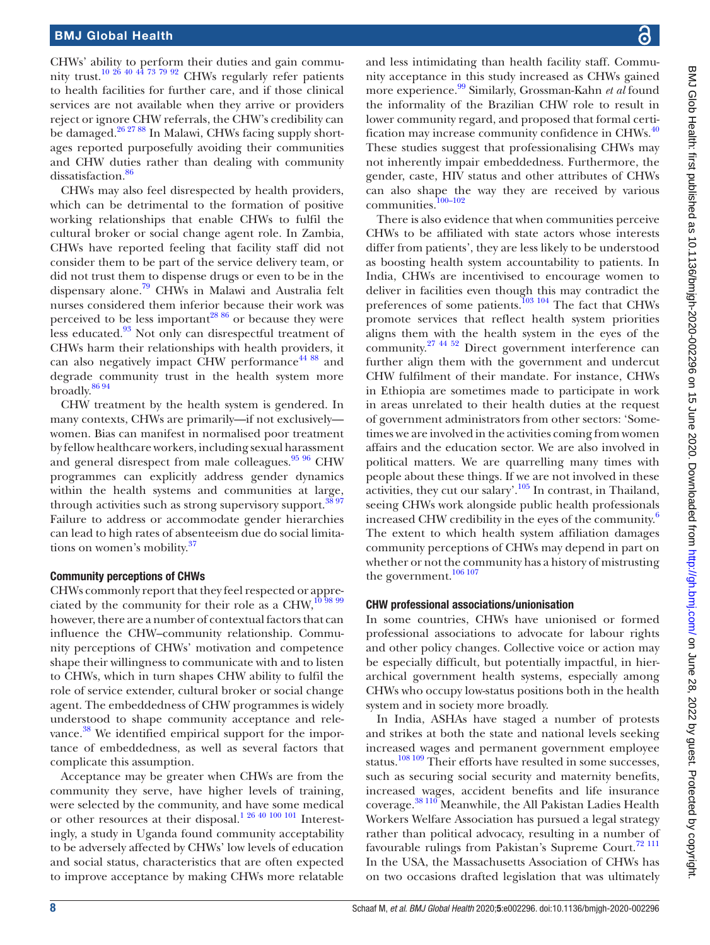CHWs' ability to perform their duties and gain community trust.<sup>10 26</sup> <sup>40</sup> <sup>44</sup> <sup>73</sup> <sup>79</sup> <sup>92</sup> CHWs regularly refer patients to health facilities for further care, and if those clinical services are not available when they arrive or providers reject or ignore CHW referrals, the CHW's credibility can be damaged.<sup>26 27 88</sup> In Malawi, CHWs facing supply shortages reported purposefully avoiding their communities and CHW duties rather than dealing with community dissatisfaction.<sup>86</sup>

CHWs may also feel disrespected by health providers, which can be detrimental to the formation of positive working relationships that enable CHWs to fulfil the cultural broker or social change agent role. In Zambia, CHWs have reported feeling that facility staff did not consider them to be part of the service delivery team, or did not trust them to dispense drugs or even to be in the dispensary alone.[79](#page-11-27) CHWs in Malawi and Australia felt nurses considered them inferior because their work was perceived to be less important<sup>[28 86](#page-10-20)</sup> or because they were less educated.<sup>[93](#page-12-3)</sup> Not only can disrespectful treatment of CHWs harm their relationships with health providers, it can also negatively impact CHW performance<sup>[44 88](#page-11-3)</sup> and degrade community trust in the health system more broadly.  $^{86\,94}$ 

CHW treatment by the health system is gendered. In many contexts, CHWs are primarily—if not exclusively women. Bias can manifest in normalised poor treatment by fellow healthcare workers, including sexual harassment and general disrespect from male colleagues. $95\frac{96}{5}$  CHW programmes can explicitly address gender dynamics within the health systems and communities at large, through activities such as strong supervisory support.<sup>[38 97](#page-10-19)</sup> Failure to address or accommodate gender hierarchies can lead to high rates of absenteeism due do social limita-tions on women's mobility.<sup>[37](#page-10-18)</sup>

#### Community perceptions of CHWs

CHWs commonly report that they feel respected or appre-ciated by the community for their role as a CHW,<sup>[10 98 99](#page-10-5)</sup> however, there are a number of contextual factors that can influence the CHW–community relationship. Community perceptions of CHWs' motivation and competence shape their willingness to communicate with and to listen to CHWs, which in turn shapes CHW ability to fulfil the role of service extender, cultural broker or social change agent. The embeddedness of CHW programmes is widely understood to shape community acceptance and rele-vance.<sup>[38](#page-10-19)</sup> We identified empirical support for the importance of embeddedness, as well as several factors that complicate this assumption.

Acceptance may be greater when CHWs are from the community they serve, have higher levels of training, were selected by the community, and have some medical or other resources at their disposal.<sup>1 26 40 100 101</sup> Interestingly, a study in Uganda found community acceptability to be adversely affected by CHWs' low levels of education and social status, characteristics that are often expected to improve acceptance by making CHWs more relatable

and less intimidating than health facility staff. Community acceptance in this study increased as CHWs gained more experience.[99](#page-12-5) Similarly, Grossman-Kahn *et al* found the informality of the Brazilian CHW role to result in lower community regard, and proposed that formal certi-fication may increase community confidence in CHWs.<sup>[40](#page-11-0)</sup> These studies suggest that professionalising CHWs may not inherently impair embeddedness. Furthermore, the gender, caste, HIV status and other attributes of CHWs can also shape the way they are received by various communities.[100–102](#page-12-6)

There is also evidence that when communities perceive CHWs to be affiliated with state actors whose interests differ from patients', they are less likely to be understood as boosting health system accountability to patients. In India, CHWs are incentivised to encourage women to deliver in facilities even though this may contradict the preferences of some patients.<sup>103 104</sup> The fact that CHWs promote services that reflect health system priorities aligns them with the health system in the eyes of the community.[27 44 52](#page-10-22) Direct government interference can further align them with the government and undercut CHW fulfilment of their mandate. For instance, CHWs in Ethiopia are sometimes made to participate in work in areas unrelated to their health duties at the request of government administrators from other sectors: 'Sometimes we are involved in the activities coming from women affairs and the education sector. We are also involved in political matters. We are quarrelling many times with people about these things. If we are not involved in these activities, they cut our salary'[.105](#page-12-8) In contrast, in Thailand, seeing CHWs work alongside public health professionals increased CHW credibility in the eyes of the community.<sup>[6](#page-10-21)</sup> The extent to which health system affiliation damages community perceptions of CHWs may depend in part on whether or not the community has a history of mistrusting the government.<sup>[106 107](#page-12-9)</sup>

#### CHW professional associations/unionisation

In some countries, CHWs have unionised or formed professional associations to advocate for labour rights and other policy changes. Collective voice or action may be especially difficult, but potentially impactful, in hierarchical government health systems, especially among CHWs who occupy low-status positions both in the health system and in society more broadly.

In India, ASHAs have staged a number of protests and strikes at both the state and national levels seeking increased wages and permanent government employee status.<sup>[108 109](#page-12-10)</sup> Their efforts have resulted in some successes, such as securing social security and maternity benefits, increased wages, accident benefits and life insurance coverage.<sup>38 110</sup> Meanwhile, the All Pakistan Ladies Health Workers Welfare Association has pursued a legal strategy rather than political advocacy, resulting in a number of favourable rulings from Pakistan's Supreme Court.<sup>[72 111](#page-11-19)</sup> In the USA, the Massachusetts Association of CHWs has on two occasions drafted legislation that was ultimately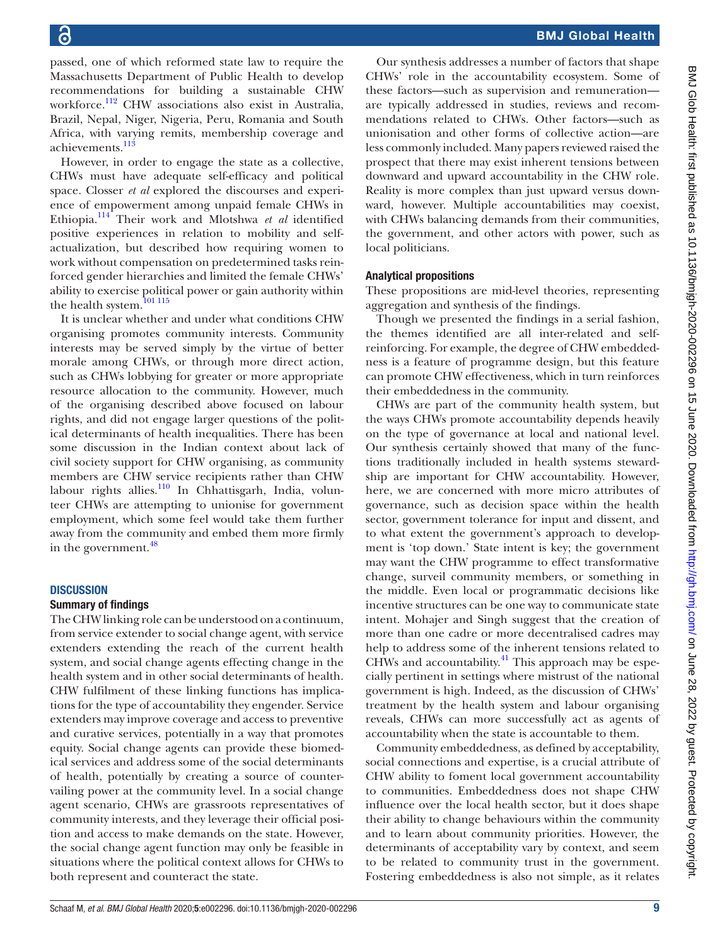passed, one of which reformed state law to require the Massachusetts Department of Public Health to develop recommendations for building a sustainable CHW workforce.<sup>112</sup> CHW associations also exist in Australia, Brazil, Nepal, Niger, Nigeria, Peru, Romania and South Africa, with varying remits, membership coverage and achievements.<sup>113</sup>

However, in order to engage the state as a collective, CHWs must have adequate self-efficacy and political space. Closser *et al* explored the discourses and experience of empowerment among unpaid female CHWs in Ethiopia.[114](#page-12-13) Their work and Mlotshwa *et al* identified positive experiences in relation to mobility and selfactualization, but described how requiring women to work without compensation on predetermined tasks reinforced gender hierarchies and limited the female CHWs' ability to exercise political power or gain authority within the health system.  $^{\rm 101\,115}$ 

It is unclear whether and under what conditions CHW organising promotes community interests. Community interests may be served simply by the virtue of better morale among CHWs, or through more direct action, such as CHWs lobbying for greater or more appropriate resource allocation to the community. However, much of the organising described above focused on labour rights, and did not engage larger questions of the political determinants of health inequalities. There has been some discussion in the Indian context about lack of civil society support for CHW organising, as community members are CHW service recipients rather than CHW labour rights allies.<sup>110</sup> In Chhattisgarh, India, volunteer CHWs are attempting to unionise for government employment, which some feel would take them further away from the community and embed them more firmly in the government. $48$ 

#### **DISCUSSION**

#### Summary of findings

The CHW linking role can be understood on a continuum, from service extender to social change agent, with service extenders extending the reach of the current health system, and social change agents effecting change in the health system and in other social determinants of health. CHW fulfilment of these linking functions has implications for the type of accountability they engender. Service extenders may improve coverage and access to preventive and curative services, potentially in a way that promotes equity. Social change agents can provide these biomedical services and address some of the social determinants of health, potentially by creating a source of countervailing power at the community level. In a social change agent scenario, CHWs are grassroots representatives of community interests, and they leverage their official position and access to make demands on the state. However, the social change agent function may only be feasible in situations where the political context allows for CHWs to both represent and counteract the state.

Our synthesis addresses a number of factors that shape CHWs' role in the accountability ecosystem. Some of these factors—such as supervision and remuneration are typically addressed in studies, reviews and recommendations related to CHWs. Other factors—such as unionisation and other forms of collective action—are less commonly included. Many papers reviewed raised the prospect that there may exist inherent tensions between downward and upward accountability in the CHW role. Reality is more complex than just upward versus downward, however. Multiple accountabilities may coexist, with CHWs balancing demands from their communities, the government, and other actors with power, such as local politicians.

#### Analytical propositions

These propositions are mid-level theories, representing aggregation and synthesis of the findings.

Though we presented the findings in a serial fashion, the themes identified are all inter-related and selfreinforcing. For example, the degree of CHW embeddedness is a feature of programme design, but this feature can promote CHW effectiveness, which in turn reinforces their embeddedness in the community.

CHWs are part of the community health system, but the ways CHWs promote accountability depends heavily on the type of governance at local and national level. Our synthesis certainly showed that many of the functions traditionally included in health systems stewardship are important for CHW accountability. However, here, we are concerned with more micro attributes of governance, such as decision space within the health sector, government tolerance for input and dissent, and to what extent the government's approach to development is 'top down.' State intent is key; the government may want the CHW programme to effect transformative change, surveil community members, or something in the middle. Even local or programmatic decisions like incentive structures can be one way to communicate state intent. Mohajer and Singh suggest that the creation of more than one cadre or more decentralised cadres may help to address some of the inherent tensions related to CHWs and accountability. $^{41}$  This approach may be especially pertinent in settings where mistrust of the national government is high. Indeed, as the discussion of CHWs' treatment by the health system and labour organising reveals, CHWs can more successfully act as agents of accountability when the state is accountable to them.

Community embeddedness, as defined by acceptability, social connections and expertise, is a crucial attribute of CHW ability to foment local government accountability to communities. Embeddedness does not shape CHW influence over the local health sector, but it does shape their ability to change behaviours within the community and to learn about community priorities. However, the determinants of acceptability vary by context, and seem to be related to community trust in the government. Fostering embeddedness is also not simple, as it relates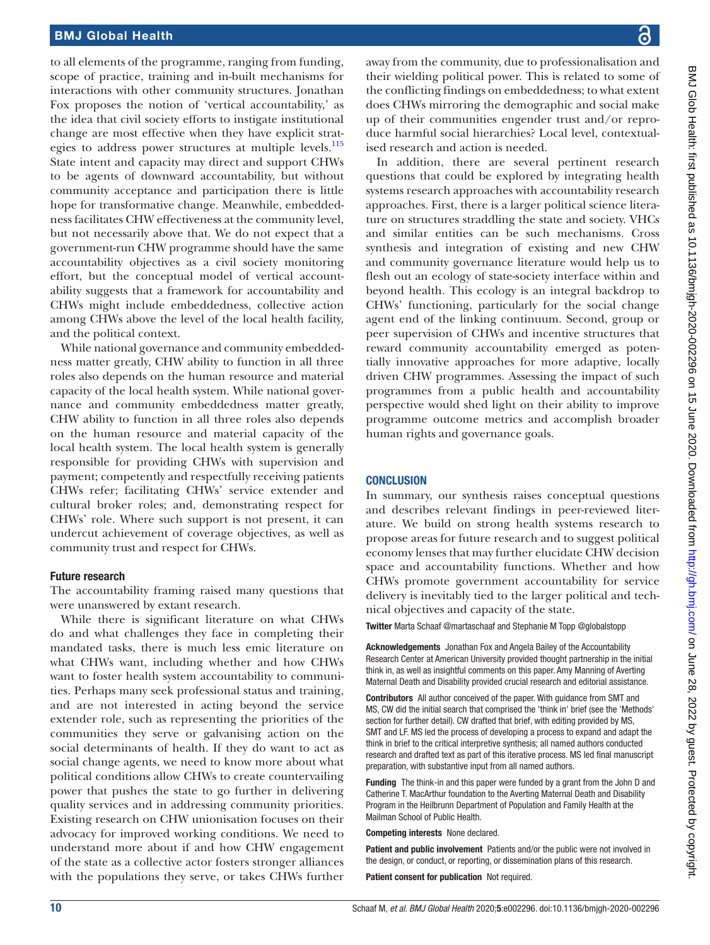to all elements of the programme, ranging from funding, scope of practice, training and in-built mechanisms for interactions with other community structures. Jonathan Fox proposes the notion of 'vertical accountability,' as the idea that civil society efforts to instigate institutional change are most effective when they have explicit strat-egies to address power structures at multiple levels.<sup>[115](#page-12-16)</sup> State intent and capacity may direct and support CHWs to be agents of downward accountability, but without community acceptance and participation there is little hope for transformative change. Meanwhile, embeddedness facilitates CHW effectiveness at the community level, but not necessarily above that. We do not expect that a government-run CHW programme should have the same accountability objectives as a civil society monitoring effort, but the conceptual model of vertical accountability suggests that a framework for accountability and CHWs might include embeddedness, collective action among CHWs above the level of the local health facility, and the political context.

While national governance and community embeddedness matter greatly, CHW ability to function in all three roles also depends on the human resource and material capacity of the local health system. While national governance and community embeddedness matter greatly, CHW ability to function in all three roles also depends on the human resource and material capacity of the local health system. The local health system is generally responsible for providing CHWs with supervision and payment; competently and respectfully receiving patients CHWs refer; facilitating CHWs' service extender and cultural broker roles; and, demonstrating respect for CHWs' role. Where such support is not present, it can undercut achievement of coverage objectives, as well as community trust and respect for CHWs.

#### Future research

The accountability framing raised many questions that were unanswered by extant research.

While there is significant literature on what CHWs do and what challenges they face in completing their mandated tasks, there is much less emic literature on what CHWs want, including whether and how CHWs want to foster health system accountability to communities. Perhaps many seek professional status and training, and are not interested in acting beyond the service extender role, such as representing the priorities of the communities they serve or galvanising action on the social determinants of health. If they do want to act as social change agents, we need to know more about what political conditions allow CHWs to create countervailing power that pushes the state to go further in delivering quality services and in addressing community priorities. Existing research on CHW unionisation focuses on their advocacy for improved working conditions. We need to understand more about if and how CHW engagement of the state as a collective actor fosters stronger alliances with the populations they serve, or takes CHWs further

away from the community, due to professionalisation and their wielding political power. This is related to some of the conflicting findings on embeddedness; to what extent does CHWs mirroring the demographic and social make up of their communities engender trust and/or reproduce harmful social hierarchies? Local level, contextualised research and action is needed.

In addition, there are several pertinent research questions that could be explored by integrating health systems research approaches with accountability research approaches. First, there is a larger political science literature on structures straddling the state and society. VHCs and similar entities can be such mechanisms. Cross synthesis and integration of existing and new CHW and community governance literature would help us to flesh out an ecology of state-society interface within and beyond health. This ecology is an integral backdrop to CHWs' functioning, particularly for the social change agent end of the linking continuum. Second, group or peer supervision of CHWs and incentive structures that reward community accountability emerged as potentially innovative approaches for more adaptive, locally driven CHW programmes. Assessing the impact of such programmes from a public health and accountability perspective would shed light on their ability to improve programme outcome metrics and accomplish broader human rights and governance goals.

#### **CONCLUSION**

In summary, our synthesis raises conceptual questions and describes relevant findings in peer-reviewed literature. We build on strong health systems research to propose areas for future research and to suggest political economy lenses that may further elucidate CHW decision space and accountability functions. Whether and how CHWs promote government accountability for service delivery is inevitably tied to the larger political and technical objectives and capacity of the state.

Twitter Marta Schaaf [@martaschaaf](https://twitter.com/martaschaaf) and Stephanie M Topp [@globalstopp](https://twitter.com/globalstopp)

Acknowledgements Jonathan Fox and Angela Bailey of the Accountability Research Center at American University provided thought partnership in the initial think in, as well as insightful comments on this paper. Amy Manning of Averting Maternal Death and Disability provided crucial research and editorial assistance.

Contributors All author conceived of the paper. With guidance from SMT and MS, CW did the initial search that comprised the 'think in' brief (see the 'Methods' section for further detail). CW drafted that brief, with editing provided by MS, SMT and LF. MS led the process of developing a process to expand and adapt the think in brief to the critical interpretive synthesis; all named authors conducted research and drafted text as part of this iterative process. MS led final manuscript preparation, with substantive input from all named authors.

Funding The think-in and this paper were funded by a grant from the John D and Catherine T. MacArthur foundation to the Averting Maternal Death and Disability Program in the Heilbrunn Department of Population and Family Health at the Mailman School of Public Health.

Competing interests None declared.

Patient and public involvement Patients and/or the public were not involved in the design, or conduct, or reporting, or dissemination plans of this research.

Patient consent for publication Not required.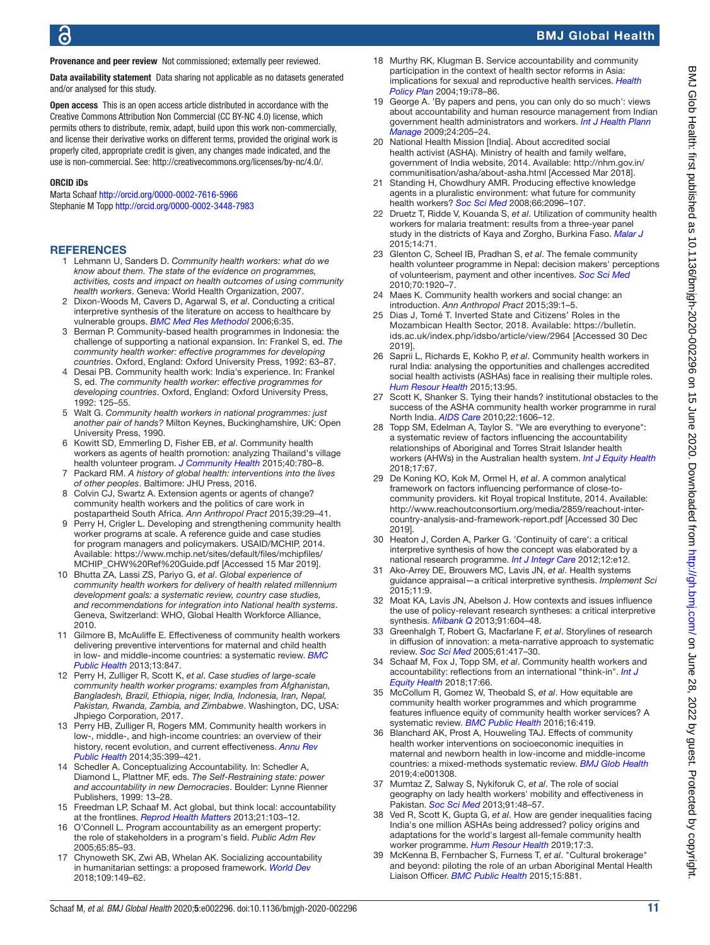# BMJ Global Health

Provenance and peer review Not commissioned; externally peer reviewed.

Data availability statement Data sharing not applicable as no datasets generated and/or analysed for this study.

Open access This is an open access article distributed in accordance with the Creative Commons Attribution Non Commercial (CC BY-NC 4.0) license, which permits others to distribute, remix, adapt, build upon this work non-commercially, and license their derivative works on different terms, provided the original work is properly cited, appropriate credit is given, any changes made indicated, and the use is non-commercial. See:<http://creativecommons.org/licenses/by-nc/4.0/>.

#### ORCID iDs

Marta Schaaf<http://orcid.org/0000-0002-7616-5966> Stephanie M Topp <http://orcid.org/0000-0002-3448-7983>

#### <span id="page-10-0"></span>**REFERENCES**

- 1 Lehmann U, Sanders D. *Community health workers: what do we know about them. The state of the evidence on programmes, activities, costs and impact on health outcomes of using community health workers*. Geneva: World Health Organization, 2007.
- <span id="page-10-1"></span>2 Dixon-Woods M, Cavers D, Agarwal S, *et al*. Conducting a critical interpretive synthesis of the literature on access to healthcare by vulnerable groups. *[BMC Med Res Methodol](http://dx.doi.org/10.1186/1471-2288-6-35)* 2006;6:35.
- <span id="page-10-2"></span>3 Berman P. Community-based health programmes in Indonesia: the challenge of supporting a national expansion. In: Frankel S, ed. *The community health worker: effective programmes for developing countries*. Oxford, England: Oxford University Press, 1992: 63–87.
- Desai PB. Community health work: India's experience. In: Frankel S, ed. *The community health worker: effective programmes for developing countries*. Oxford, England: Oxford University Press, 1992: 125–55.
- <span id="page-10-14"></span>5 Walt G. *Community health workers in national programmes: just another pair of hands?* Milton Keynes, Buckinghamshire, UK: Open University Press, 1990.
- <span id="page-10-21"></span>6 Kowitt SD, Emmerling D, Fisher EB, *et al*. Community health workers as agents of health promotion: analyzing Thailand's village health volunteer program. *[J Community Health](http://dx.doi.org/10.1007/s10900-015-9999-y)* 2015;40:780–8.
- <span id="page-10-3"></span>7 Packard RM. *A history of global health: interventions into the lives of other peoples*. Baltimore: JHU Press, 2016.
- <span id="page-10-23"></span>8 Colvin CJ, Swartz A. Extension agents or agents of change? community health workers and the politics of care work in postapartheid South Africa. *Ann Anthropol Pract* 2015;39:29–41.
- <span id="page-10-4"></span>9 Perry H, Crigler L. Developing and strengthening community health worker programs at scale. A reference guide and case studies for program managers and policymakers. USAID/MCHIP, 2014. Available: [https://www.mchip.net/sites/default/files/mchipfiles/](https://www.mchip.net/sites/default/files/mchipfiles/MCHIP_CHW%20Ref%20Guide.pdf) [MCHIP\\_CHW%20Ref%20Guide.pdf](https://www.mchip.net/sites/default/files/mchipfiles/MCHIP_CHW%20Ref%20Guide.pdf) [Accessed 15 Mar 2019].
- <span id="page-10-5"></span>10 Bhutta ZA, Lassi ZS, Pariyo G, *et al*. *Global experience of community health workers for delivery of health related millennium development goals: a systematic review, country case studies, and recommendations for integration into National health systems*. Geneva, Switzerland: WHO, Global Health Workforce Alliance, 2010.
- <span id="page-10-15"></span>11 Gilmore B, McAuliffe E. Effectiveness of community health workers delivering preventive interventions for maternal and child health in low- and middle-income countries: a systematic review. *[BMC](http://dx.doi.org/10.1186/1471-2458-13-847)  [Public Health](http://dx.doi.org/10.1186/1471-2458-13-847)* 2013;13:847.
- 12 Perry H, Zulliger R, Scott K, *et al*. *Case studies of large-scale community health worker programs: examples from Afghanistan, Bangladesh, Brazil, Ethiopia, niger, India, Indonesia, Iran, Nepal, Pakistan, Rwanda, Zambia, and Zimbabwe*. Washington, DC, USA: Jhpiego Corporation, 2017.
- 13 Perry HB, Zulliger R, Rogers MM. Community health workers in low-, middle-, and high-income countries: an overview of their history, recent evolution, and current effectiveness. *[Annu Rev](http://dx.doi.org/10.1146/annurev-publhealth-032013-182354)  [Public Health](http://dx.doi.org/10.1146/annurev-publhealth-032013-182354)* 2014;35:399–421.
- <span id="page-10-6"></span>14 Schedler A. Conceptualizing Accountability. In: Schedler A, Diamond L, Plattner MF, eds. *The Self-Restraining state: power and accountability in new Democracies*. Boulder: Lynne Rienner Publishers, 1999: 13–28.
- <span id="page-10-7"></span>15 Freedman LP, Schaaf M. Act global, but think local: accountability at the frontlines. *[Reprod Health Matters](http://dx.doi.org/10.1016/S0968-8080(13)42744-1)* 2013;21:103–12.
- 16 O'Connell L. Program accountability as an emergent property: the role of stakeholders in a program's field. *Public Adm Rev* 2005;65:85–93.
- 17 Chynoweth SK, Zwi AB, Whelan AK. Socializing accountability in humanitarian settings: a proposed framework. *[World Dev](http://dx.doi.org/10.1016/j.worlddev.2018.04.012)* 2018;109:149–62.
- 18 Murthy RK, Klugman B. Service accountability and community participation in the context of health sector reforms in Asia: implications for sexual and reproductive health services. *[Health](http://dx.doi.org/10.1093/heapol/czh048)  [Policy Plan](http://dx.doi.org/10.1093/heapol/czh048)* 2004;19:i78–86.
- 19 George A. 'By papers and pens, you can only do so much': views about accountability and human resource management from Indian government health administrators and workers. *[Int J Health Plann](http://dx.doi.org/10.1002/hpm.986)  [Manage](http://dx.doi.org/10.1002/hpm.986)* 2009;24:205–24.
- <span id="page-10-8"></span>20 National Health Mission [India]. About accredited social health activist (ASHA). Ministry of health and family welfare, government of India website, 2014. Available: [http://nhm.gov.in/](http://nhm.gov.in/communitisation/asha/about-asha.html) [communitisation/asha/about-asha.html](http://nhm.gov.in/communitisation/asha/about-asha.html) [Accessed Mar 2018].
- <span id="page-10-9"></span>21 Standing H, Chowdhury AMR. Producing effective knowledge agents in a pluralistic environment: what future for community health workers? *[Soc Sci Med](http://dx.doi.org/10.1016/j.socscimed.2008.01.046)* 2008;66:2096–107.
- <span id="page-10-10"></span>22 Druetz T, Ridde V, Kouanda S, *et al*. Utilization of community health workers for malaria treatment: results from a three-year panel study in the districts of Kaya and Zorgho, Burkina Faso. *[Malar J](http://dx.doi.org/10.1186/s12936-015-0591-9)* 2015;14:71.
- <span id="page-10-24"></span>23 Glenton C, Scheel IB, Pradhan S, *et al*. The female community health volunteer programme in Nepal: decision makers' perceptions of volunteerism, payment and other incentives. *[Soc Sci Med](http://dx.doi.org/10.1016/j.socscimed.2010.02.034)* 2010;70:1920–7.
- 24 Maes K. Community health workers and social change: an introduction. *Ann Anthropol Pract* 2015;39:1–5.
- 25 Dias J, Tomé T. Inverted State and Citizens' Roles in the Mozambican Health Sector, 2018. Available: [https://bulletin.](https://bulletin.ids.ac.uk/index.php/idsbo/article/view/2964) [ids.ac.uk/index.php/idsbo/article/view/2964](https://bulletin.ids.ac.uk/index.php/idsbo/article/view/2964) [Accessed 30 Dec 2019].
- <span id="page-10-11"></span>26 Saprii L, Richards E, Kokho P, *et al*. Community health workers in rural India: analysing the opportunities and challenges accredited social health activists (ASHAs) face in realising their multiple roles. *[Hum Resour Health](http://dx.doi.org/10.1186/s12960-015-0094-3)* 2015;13:95.
- <span id="page-10-22"></span>27 Scott K, Shanker S. Tying their hands? institutional obstacles to the success of the ASHA community health worker programme in rural North India. *[AIDS Care](http://dx.doi.org/10.1080/09540121.2010.507751)* 2010;22:1606–12.
- <span id="page-10-20"></span>Topp SM, Edelman A, Taylor S. "We are everything to everyone": a systematic review of factors influencing the accountability relationships of Aboriginal and Torres Strait Islander health workers (AHWs) in the Australian health system. *[Int J Equity Health](http://dx.doi.org/10.1186/s12939-018-0779-z)* 2018;17:67.
- 29 De Koning KO, Kok M, Ormel H, *et al*. A common analytical framework on factors influencing performance of close-tocommunity providers. kit Royal tropical Institute, 2014. Available: [http://www.reachoutconsortium.org/media/2859/reachout-inter](http://www.reachoutconsortium.org/media/2859/reachout-inter-country-analysis-and-framework-report.pdf)[country-analysis-and-framework-report.pdf](http://www.reachoutconsortium.org/media/2859/reachout-inter-country-analysis-and-framework-report.pdf) [Accessed 30 Dec 2019].
- 30 Heaton J, Corden A, Parker G. 'Continuity of care': a critical interpretive synthesis of how the concept was elaborated by a national research programme. *[Int J Integr Care](http://dx.doi.org/10.5334/ijic.794)* 2012;12:e12.
- 31 Ako-Arrey DE, Brouwers MC, Lavis JN, *et al*. Health systems guidance appraisal—a critical interpretive synthesis. *Implement Sci*  $2015.11.9$
- 32 Moat KA, Lavis JN, Abelson J. How contexts and issues influence the use of policy-relevant research syntheses: a critical interpretive synthesis. *[Milbank Q](http://dx.doi.org/10.1111/1468-0009.12026)* 2013;91:604–48.
- <span id="page-10-12"></span>33 Greenhalgh T, Robert G, Macfarlane F, *et al*. Storylines of research in diffusion of innovation: a meta-narrative approach to systematic review. *[Soc Sci Med](http://dx.doi.org/10.1016/j.socscimed.2004.12.001)* 2005;61:417–30.
- <span id="page-10-13"></span>Schaaf M, Fox J, Topp SM, *et al.* Community health workers and accountability: reflections from an international "think-in". *[Int J](http://dx.doi.org/10.1186/s12939-018-0781-5)  [Equity Health](http://dx.doi.org/10.1186/s12939-018-0781-5)* 2018;17:66.
- <span id="page-10-16"></span>35 McCollum R, Gomez W, Theobald S, *et al*. How equitable are community health worker programmes and which programme features influence equity of community health worker services? A systematic review. *[BMC Public Health](http://dx.doi.org/10.1186/s12889-016-3043-8)* 2016;16:419.
- <span id="page-10-17"></span>36 Blanchard AK, Prost A, Houweling TAJ. Effects of community health worker interventions on socioeconomic inequities in maternal and newborn health in low-income and middle-income countries: a mixed-methods systematic review. *[BMJ Glob Health](http://dx.doi.org/10.1136/bmjgh-2018-001308)* 2019;4:e001308.
- <span id="page-10-18"></span>37 Mumtaz Z, Salway S, Nykiforuk C, *et al*. The role of social geography on lady health workers' mobility and effectiveness in Pakistan. *[Soc Sci Med](http://dx.doi.org/10.1016/j.socscimed.2013.05.007)* 2013;91:48–57.
- <span id="page-10-19"></span>38 Ved R, Scott K, Gupta G, *et al*. How are gender inequalities facing India's one million ASHAs being addressed? policy origins and adaptations for the world's largest all-female community health worker programme. *[Hum Resour Health](http://dx.doi.org/10.1186/s12960-018-0338-0)* 2019;17:3.
- 39 McKenna B, Fernbacher S, Furness T, *et al*. "Cultural brokerage" and beyond: piloting the role of an urban Aboriginal Mental Health Liaison Officer. *[BMC Public Health](http://dx.doi.org/10.1186/s12889-015-2221-4)* 2015;15:881.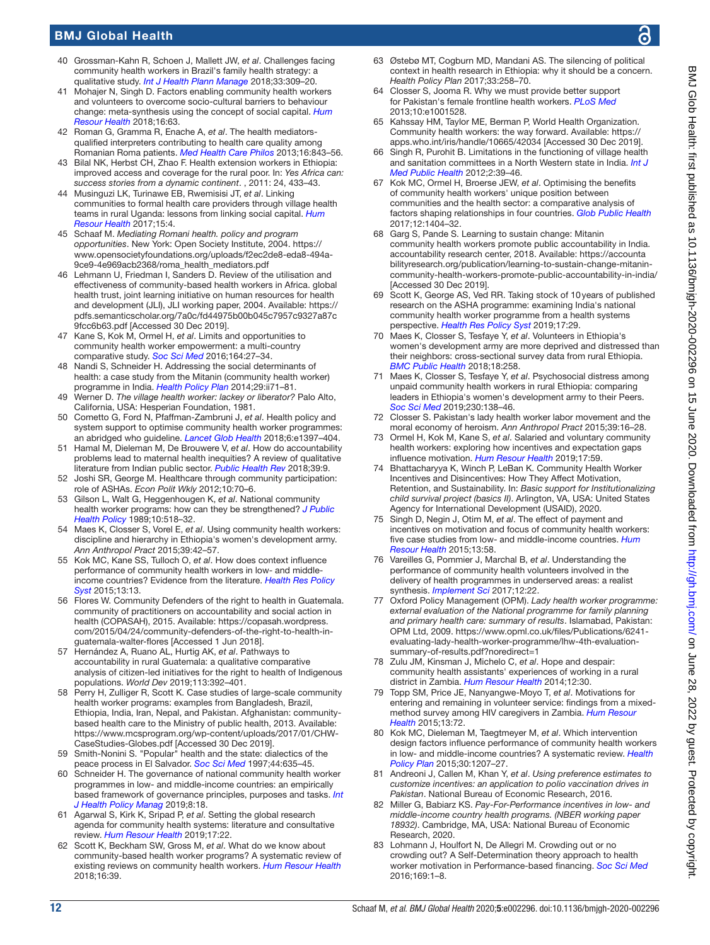# BMJ Global Health

- <span id="page-11-0"></span>40 Grossman-Kahn R, Schoen J, Mallett JW, *et al*. Challenges facing community health workers in Brazil's family health strategy: a qualitative study. *[Int J Health Plann Manage](http://dx.doi.org/10.1002/hpm.2456)* 2018;33:309–20.
- <span id="page-11-21"></span>41 Mohajer N, Singh D. Factors enabling community health workers and volunteers to overcome socio-cultural barriers to behaviour change: meta-synthesis using the concept of social capital. *[Hum](http://dx.doi.org/10.1186/s12960-018-0331-7)  [Resour Health](http://dx.doi.org/10.1186/s12960-018-0331-7)* 2018;16:63.
- <span id="page-11-1"></span>42 Roman G, Gramma R, Enache A, *et al*. The health mediatorsqualified interpreters contributing to health care quality among Romanian Roma patients. *[Med Health Care Philos](http://dx.doi.org/10.1007/s11019-013-9467-3)* 2013;16:843–56.
- <span id="page-11-2"></span>43 Bilal NK, Herbst CH, Zhao F. Health extension workers in Ethiopia: improved access and coverage for the rural poor. In: *Yes Africa can: success stories from a dynamic continent*. , 2011: 24, 433–43.
- <span id="page-11-3"></span>44 Musinguzi LK, Turinawe EB, Rwemisisi JT, *et al*. Linking communities to formal health care providers through village health teams in rural Uganda: lessons from linking social capital. *[Hum](http://dx.doi.org/10.1186/s12960-016-0177-9)  [Resour Health](http://dx.doi.org/10.1186/s12960-016-0177-9)* 2017;15:4.
- 45 Schaaf M. *Mediating Romani health. policy and program opportunities*. New York: Open Society Institute, 2004. [https://](https://www.opensocietyfoundations.org/uploads/f2ec2de8-eda8-494a-9ce9-4e969acb2368/roma_health_mediators.pdf) [www.opensocietyfoundations.org/uploads/f2ec2de8-eda8-494a-](https://www.opensocietyfoundations.org/uploads/f2ec2de8-eda8-494a-9ce9-4e969acb2368/roma_health_mediators.pdf)[9ce9-4e969acb2368/roma\\_health\\_mediators.pdf](https://www.opensocietyfoundations.org/uploads/f2ec2de8-eda8-494a-9ce9-4e969acb2368/roma_health_mediators.pdf)
- 46 Lehmann U, Friedman I, Sanders D. Review of the utilisation and effectiveness of community-based health workers in Africa. global health trust, joint learning initiative on human resources for health and development (JLI), JLI working paper, 2004. Available: [https://](https://pdfs.semanticscholar.org/7a0c/fd44975b00b045c7957c9327a87c9fcc6b63.pdf) [pdfs.semanticscholar.org/7a0c/fd44975b00b045c7957c9327a87c](https://pdfs.semanticscholar.org/7a0c/fd44975b00b045c7957c9327a87c9fcc6b63.pdf) [9fcc6b63.pdf](https://pdfs.semanticscholar.org/7a0c/fd44975b00b045c7957c9327a87c9fcc6b63.pdf) [Accessed 30 Dec 2019].
- <span id="page-11-4"></span>47 Kane S, Kok M, Ormel H, *et al*. Limits and opportunities to community health worker empowerment: a multi-country comparative study. *[Soc Sci Med](http://dx.doi.org/10.1016/j.socscimed.2016.07.019)* 2016;164:27–34.
- <span id="page-11-17"></span>48 Nandi S, Schneider H. Addressing the social determinants of health: a case study from the Mitanin (community health worker) programme in India. *[Health Policy Plan](http://dx.doi.org/10.1093/heapol/czu074)* 2014;29:ii71–81.
- <span id="page-11-5"></span>49 Werner D. *The village health worker: lackey or liberator?* Palo Alto, California, USA: Hesperian Foundation, 1981.
- <span id="page-11-6"></span>50 Cometto G, Ford N, Pfaffman-Zambruni J, *et al*. Health policy and system support to optimise community health worker programmes: an abridged who guideline. *[Lancet Glob Health](http://dx.doi.org/10.1016/S2214-109X(18)30482-0)* 2018;6:e1397–404.
- 51 Hamal M, Dieleman M, De Brouwere V, *et al*. How do accountability problems lead to maternal health inequities? A review of qualitative literature from Indian public sector. *[Public Health Rev](http://dx.doi.org/10.1186/s40985-018-0081-z)* 2018;39:9.
- 52 Joshi SR, George M. Healthcare through community participation: role of ASHAs. *Econ Polit Wkly* 2012;10:70–6.
- <span id="page-11-7"></span>53 Gilson L, Walt G, Heggenhougen K, *et al*. National community health worker programs: how can they be strengthened? *[J Public](http://www.ncbi.nlm.nih.gov/pubmed/http://www.ncbi.nlm.nih.gov/pubmed/2621254)  [Health Policy](http://www.ncbi.nlm.nih.gov/pubmed/http://www.ncbi.nlm.nih.gov/pubmed/2621254)* 1989;10:518–32.
- 54 Maes K, Closser S, Vorel E, *et al*. Using community health workers: discipline and hierarchy in Ethiopia's women's development army. *Ann Anthropol Pract* 2015;39:42–57.
- 55 Kok MC, Kane SS, Tulloch O, *et al*. How does context influence performance of community health workers in low- and middleincome countries? Evidence from the literature. *[Health Res Policy](http://dx.doi.org/10.1186/s12961-015-0001-3)  [Syst](http://dx.doi.org/10.1186/s12961-015-0001-3)* 2015;13:13.
- <span id="page-11-8"></span>56 Flores W. Community Defenders of the right to health in Guatemala. community of practitioners on accountability and social action in health (COPASAH), 2015. Available: [https://copasah.wordpress.](https://copasah.wordpress.com/2015/04/24/community-defenders-of-the-right-to-health-in-guatemala-walter-flores) [com/2015/04/24/community-defenders-of-the-right-to-health-in](https://copasah.wordpress.com/2015/04/24/community-defenders-of-the-right-to-health-in-guatemala-walter-flores)[guatemala-walter-flores](https://copasah.wordpress.com/2015/04/24/community-defenders-of-the-right-to-health-in-guatemala-walter-flores) [Accessed 1 Jun 2018].
- 57 Hernández A, Ruano AL, Hurtig AK, *et al*. Pathways to accountability in rural Guatemala: a qualitative comparative analysis of citizen-led initiatives for the right to health of Indigenous populations. *World Dev* 2019;113:392–401.
- <span id="page-11-9"></span>58 Perry H, Zulliger R, Scott K. Case studies of large-scale community health worker programs: examples from Bangladesh, Brazil, Ethiopia, India, Iran, Nepal, and Pakistan. Afghanistan: communitybased health care to the Ministry of public health, 2013. Available: [https://www.mcsprogram.org/wp-content/uploads/2017/01/CHW-](https://www.mcsprogram.org/wp-content/uploads/2017/01/CHW-CaseStudies-Globes.pdf)[CaseStudies-Globes.pdf](https://www.mcsprogram.org/wp-content/uploads/2017/01/CHW-CaseStudies-Globes.pdf) [Accessed 30 Dec 2019].
- <span id="page-11-10"></span>59 Smith-Nonini S. "Popular" health and the state: dialectics of the peace process in El Salvador. *[Soc Sci Med](http://dx.doi.org/10.1016/s0277-9536(96)00216-x)* 1997;44:635–45.
- <span id="page-11-11"></span>60 Schneider H. The governance of national community health worker programmes in low- and middle-income countries: an empirically based framework of governance principles, purposes and tasks. *[Int](http://dx.doi.org/10.15171/ijhpm.2018.92)  [J Health Policy Manag](http://dx.doi.org/10.15171/ijhpm.2018.92)* 2019;8:18.
- <span id="page-11-22"></span>61 Agarwal S, Kirk K, Sripad P, *et al*. Setting the global research agenda for community health systems: literature and consultative review. *[Hum Resour Health](http://dx.doi.org/10.1186/s12960-019-0362-8)* 2019;17:22.
- <span id="page-11-13"></span>62 Scott K, Beckham SW, Gross M, *et al*. What do we know about community-based health worker programs? A systematic review of existing reviews on community health workers. *[Hum Resour Health](http://dx.doi.org/10.1186/s12960-018-0304-x)* 2018;16:39.
- <span id="page-11-12"></span>63 Østebø MT, Cogburn MD, Mandani AS. The silencing of political context in health research in Ethiopia: why it should be a concern. *Health Policy Plan* 2017;33:258–70.
- 64 Closser S, Jooma R. Why we must provide better support for Pakistan's female frontline health workers. *[PLoS Med](http://dx.doi.org/10.1371/journal.pmed.1001528)* 2013;10:e1001528.
- <span id="page-11-14"></span>65 Kahssay HM, Taylor ME, Berman P, World Health Organization. Community health workers: the way forward. Available: [https://](https://apps.who.int/iris/handle/10665/42034) [apps.who.int/iris/handle/10665/42034](https://apps.who.int/iris/handle/10665/42034) [Accessed 30 Dec 2019].
- 66 Singh R, Purohit B. Limitations in the functioning of village health and sanitation committees in a North Western state in India. *[Int J](http://dx.doi.org/10.5530/ijmedph.2.3.9)  [Med Public Health](http://dx.doi.org/10.5530/ijmedph.2.3.9)* 2012;2:39–46.
- <span id="page-11-15"></span>67 Kok MC, Ormel H, Broerse JEW, *et al*. Optimising the benefits of community health workers' unique position between communities and the health sector: a comparative analysis of factors shaping relationships in four countries. *[Glob Public Health](http://dx.doi.org/10.1080/17441692.2016.1174722)* 2017;12:1404–32.
- <span id="page-11-16"></span>68 Garg S, Pande S. Learning to sustain change: Mitanin community health workers promote public accountability in India. accountability research center, 2018. Available: [https://accounta](https://accountabilityresearch.org/publication/learning-to-sustain-change-mitanin-community-health-workers-promote-public-accountability-in-india/) [bilityresearch.org/publication/learning-to-sustain-change-mitanin](https://accountabilityresearch.org/publication/learning-to-sustain-change-mitanin-community-health-workers-promote-public-accountability-in-india/)[community-health-workers-promote-public-accountability-in-india/](https://accountabilityresearch.org/publication/learning-to-sustain-change-mitanin-community-health-workers-promote-public-accountability-in-india/) [Accessed 30 Dec 2019].
- 69 Scott K, George AS, Ved RR. Taking stock of 10years of published research on the ASHA programme: examining India's national community health worker programme from a health systems perspective. *[Health Res Policy Syst](http://dx.doi.org/10.1186/s12961-019-0427-0)* 2019;17:29.
- <span id="page-11-18"></span>70 Maes K, Closser S, Tesfaye Y, *et al*. Volunteers in Ethiopia's women's development army are more deprived and distressed than their neighbors: cross-sectional survey data from rural Ethiopia. *[BMC Public Health](http://dx.doi.org/10.1186/s12889-018-5159-5)* 2018;18:258.
- 71 Maes K, Closser S, Tesfaye Y, *et al*. Psychosocial distress among unpaid community health workers in rural Ethiopia: comparing leaders in Ethiopia's women's development army to their Peers. *[Soc Sci Med](http://dx.doi.org/10.1016/j.socscimed.2019.04.005)* 2019;230:138–46.
- <span id="page-11-19"></span>72 Closser S. Pakistan's lady health worker labor movement and the moral economy of heroism. *Ann Anthropol Pract* 2015;39:16–28.
- <span id="page-11-20"></span>73 Ormel H, Kok M, Kane S, *et al*. Salaried and voluntary community health workers: exploring how incentives and expectation gaps influence motivation. *[Hum Resour Health](http://dx.doi.org/10.1186/s12960-019-0387-z)* 2019;17:59.
- 74 Bhattacharyya K, Winch P, LeBan K. Community Health Worker Incentives and Disincentives: How They Affect Motivation, Retention, and Sustainability. In: *Basic support for Institutionalizing child survival project (basics II)*. Arlington, VA, USA: United States Agency for International Development (USAID), 2020.
- <span id="page-11-26"></span>75 Singh D, Negin J, Otim M, *et al*. The effect of payment and incentives on motivation and focus of community health workers: five case studies from low- and middle-income countries. *[Hum](http://dx.doi.org/10.1186/s12960-015-0051-1)  [Resour Health](http://dx.doi.org/10.1186/s12960-015-0051-1)* 2015;13:58.
- 76 Vareilles G, Pommier J, Marchal B, *et al*. Understanding the performance of community health volunteers involved in the delivery of health programmes in underserved areas: a realist synthesis. *[Implement Sci](http://dx.doi.org/10.1186/s13012-017-0554-3)* 2017;12:22.
- 77 Oxford Policy Management (OPM). *Lady health worker programme:*  external evaluation of the National programme for family planning *and primary health care: summary of results*. Islamabad, Pakistan: OPM Ltd, 2009. [https://www.opml.co.uk/files/Publications/6241](https://www.opml.co.uk/files/Publications/6241-evaluating-lady-health-worker-programme/lhw-4th-evaluation-summary-of-results.pdf?noredirect=1) [evaluating-lady-health-worker-programme/lhw-4th-evaluation](https://www.opml.co.uk/files/Publications/6241-evaluating-lady-health-worker-programme/lhw-4th-evaluation-summary-of-results.pdf?noredirect=1)[summary-of-results.pdf?noredirect=1](https://www.opml.co.uk/files/Publications/6241-evaluating-lady-health-worker-programme/lhw-4th-evaluation-summary-of-results.pdf?noredirect=1)
- 78 Zulu JM, Kinsman J, Michelo C, *et al*. Hope and despair: community health assistants' experiences of working in a rural district in Zambia. *[Hum Resour Health](http://dx.doi.org/10.1186/1478-4491-12-30)* 2014;12:30.
- <span id="page-11-27"></span>79 Topp SM, Price JE, Nanyangwe-Moyo T, *et al*. Motivations for entering and remaining in volunteer service: findings from a mixedmethod survey among HIV caregivers in Zambia. *[Hum Resour](http://dx.doi.org/10.1186/s12960-015-0062-y)  [Health](http://dx.doi.org/10.1186/s12960-015-0062-y)* 2015;13:72.
- 80 Kok MC, Dieleman M, Taegtmeyer M, *et al*. Which intervention design factors influence performance of community health workers in low- and middle-income countries? A systematic review. *[Health](http://dx.doi.org/10.1093/heapol/czu126)  [Policy Plan](http://dx.doi.org/10.1093/heapol/czu126)* 2015;30:1207–27.
- <span id="page-11-23"></span>81 Andreoni J, Callen M, Khan Y, *et al*. *Using preference estimates to customize incentives: an application to polio vaccination drives in Pakistan*. National Bureau of Economic Research, 2016.
- <span id="page-11-24"></span>82 Miller G, Babiarz KS. *Pay-For-Performance incentives in low- and middle-income country health programs. (NBER working paper 18932)*. Cambridge, MA, USA: National Bureau of Economic Research, 2020.
- <span id="page-11-25"></span>83 Lohmann J, Houlfort N, De Allegri M. Crowding out or no crowding out? A Self-Determination theory approach to health worker motivation in Performance-based financing. *[Soc Sci Med](http://dx.doi.org/10.1016/j.socscimed.2016.09.006)* 2016;169:1–8.